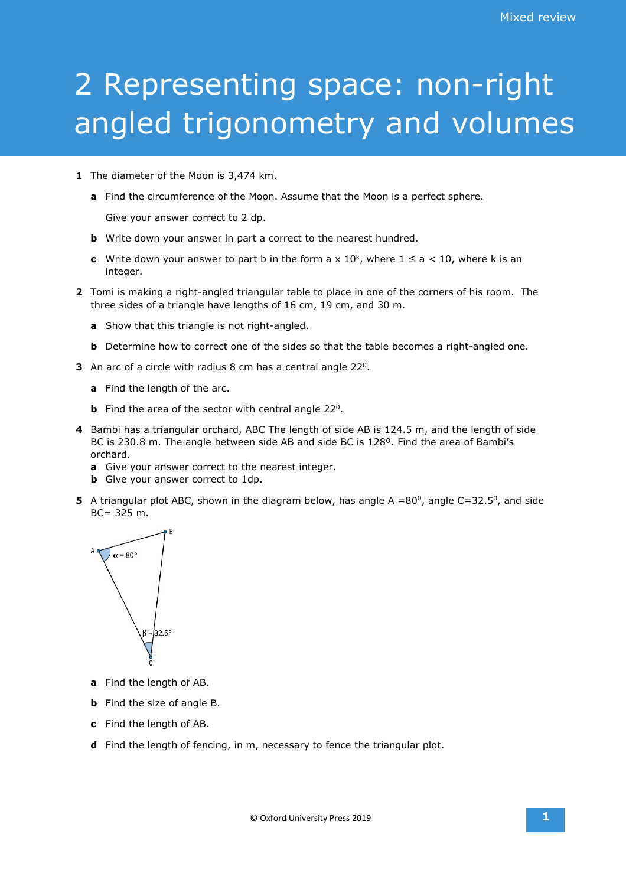## 2 Representing space: non-right angled trigonometry and volumes

- **1** The diameter of the Moon is 3,474 km.
	- **a** Find the circumference of the Moon. Assume that the Moon is a perfect sphere.

Give your answer correct to 2 dp.

- **b** Write down your answer in part a correct to the nearest hundred.
- **c** Write down your answer to part b in the form a x  $10<sup>k</sup>$ , where  $1 \le a < 10$ , where k is an integer.
- **2** Tomi is making a right-angled triangular table to place in one of the corners of his room. The three sides of a triangle have lengths of 16 cm, 19 cm, and 30 m.
	- **a** Show that this triangle is not right-angled.
	- **b** Determine how to correct one of the sides so that the table becomes a right-angled one.
- **3** An arc of a circle with radius 8 cm has a central angle 220.
	- **a** Find the length of the arc.
	- **b** Find the area of the sector with central angle 22<sup>0</sup>.
- **4** Bambi has a triangular orchard, ABC The length of side AB is 124.5 m, and the length of side BC is 230.8 m. The angle between side AB and side BC is 128º. Find the area of Bambi's orchard.
	- **a** Give your answer correct to the nearest integer.
	- **b** Give your answer correct to 1dp.
- **5** A triangular plot ABC, shown in the diagram below, has angle  $A = 80^\circ$ , angle C=32.5°, and side BC= 325 m.



- **a** Find the length of AB.
- **b** Find the size of angle B.
- **c** Find the length of AB.
- **d** Find the length of fencing, in m, necessary to fence the triangular plot.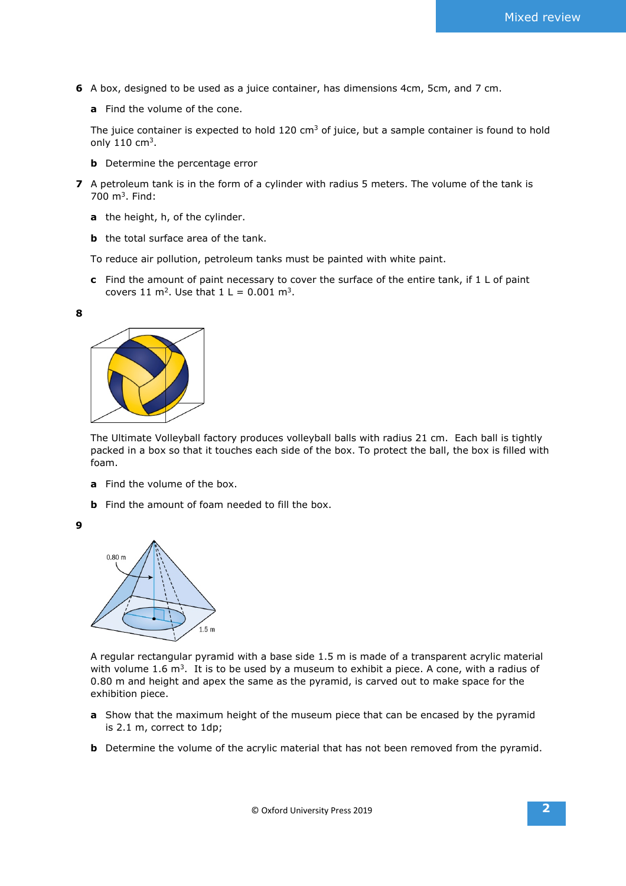- **6** A box, designed to be used as a juice container, has dimensions 4cm, 5cm, and 7 cm.
	- **a** Find the volume of the cone.

The juice container is expected to hold 120  $\text{cm}^3$  of juice, but a sample container is found to hold only  $110 \text{ cm}^3$ .

- **b** Determine the percentage error
- **7** A petroleum tank is in the form of a cylinder with radius 5 meters. The volume of the tank is 700 m3. Find:
	- **a** the height, h, of the cylinder.
	- **b** the total surface area of the tank.

To reduce air pollution, petroleum tanks must be painted with white paint.

**c** Find the amount of paint necessary to cover the surface of the entire tank, if 1 L of paint covers 11 m<sup>2</sup>. Use that  $1 L = 0.001$  m<sup>3</sup>.

**8**



The Ultimate Volleyball factory produces volleyball balls with radius 21 cm. Each ball is tightly packed in a box so that it touches each side of the box. To protect the ball, the box is filled with foam.

- **a** Find the volume of the box.
- **b** Find the amount of foam needed to fill the box.





A regular rectangular pyramid with a base side 1.5 m is made of a transparent acrylic material with volume 1.6  $m<sup>3</sup>$ . It is to be used by a museum to exhibit a piece. A cone, with a radius of 0.80 m and height and apex the same as the pyramid, is carved out to make space for the exhibition piece.

- **a** Show that the maximum height of the museum piece that can be encased by the pyramid is 2.1 m, correct to 1dp;
- **b** Determine the volume of the acrylic material that has not been removed from the pyramid.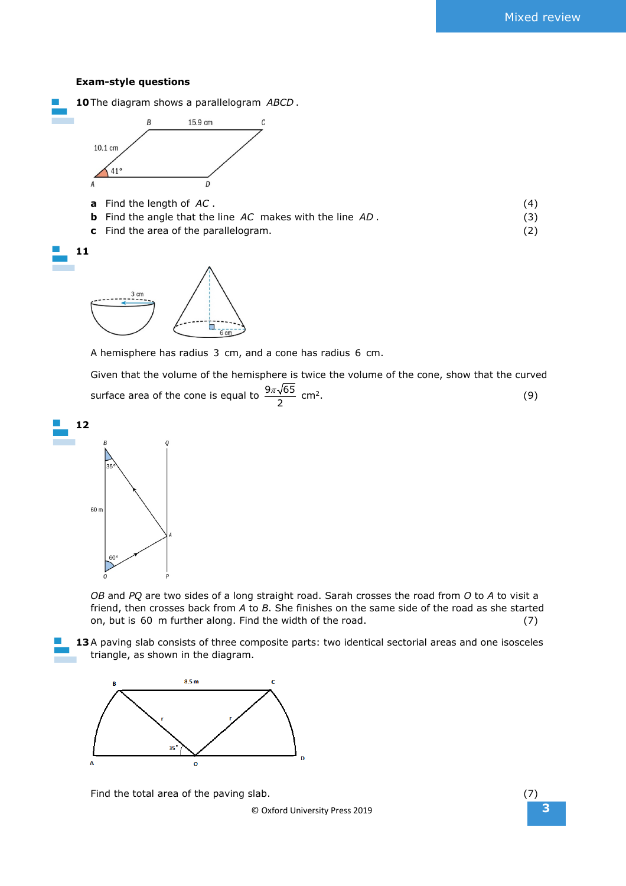## **Exam-style questions**

| 10 The diagram shows a parallelogram ABCD.                       |     |
|------------------------------------------------------------------|-----|
| Β<br>15.9 cm<br>С<br>10.1 cm<br>$41^{\circ}$<br>A                |     |
| Find the length of AC.<br>a                                      | (4) |
| <b>b</b> Find the angle that the line AC makes with the line AD. | (3) |
| c Find the area of the parallelogram.                            | (2) |
|                                                                  |     |
|                                                                  |     |



A hemisphere has radius 3 cm, and a cone has radius 6 cm.

Given that the volume of the hemisphere is twice the volume of the cone, show that the curved surface area of the cone is equal to  $\frac{9\pi\sqrt{65}}{2}$  cm<sup>2</sup>. (9)



*OB* and *PQ* are two sides of a long straight road. Sarah crosses the road from *O* to *A* to visit a friend, then crosses back from *A* to *B*. She finishes on the same side of the road as she started on, but is 60 m further along. Find the width of the road. (7)

13A paving slab consists of three composite parts: two identical sectorial areas and one isosceles triangle, as shown in the diagram.



Find the total area of the paving slab. (7) (7)

© Oxford University Press 2019 **3**